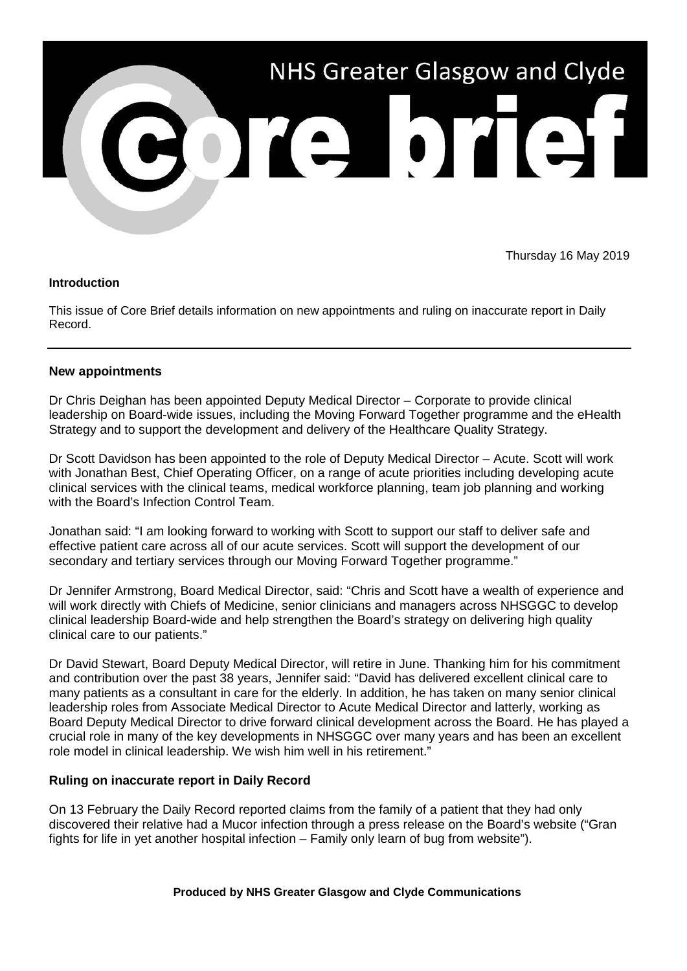

Thursday 16 May 2019

## **Introduction**

This issue of Core Brief details information on new appointments and ruling on inaccurate report in Daily Record.

## **New appointments**

Dr Chris Deighan has been appointed Deputy Medical Director – Corporate to provide clinical leadership on Board-wide issues, including the Moving Forward Together programme and the eHealth Strategy and to support the development and delivery of the Healthcare Quality Strategy.

Dr Scott Davidson has been appointed to the role of Deputy Medical Director – Acute. Scott will work with Jonathan Best, Chief Operating Officer, on a range of acute priorities including developing acute clinical services with the clinical teams, medical workforce planning, team job planning and working with the Board's Infection Control Team.

Jonathan said: "I am looking forward to working with Scott to support our staff to deliver safe and effective patient care across all of our acute services. Scott will support the development of our secondary and tertiary services through our Moving Forward Together programme."

Dr Jennifer Armstrong, Board Medical Director, said: "Chris and Scott have a wealth of experience and will work directly with Chiefs of Medicine, senior clinicians and managers across NHSGGC to develop clinical leadership Board-wide and help strengthen the Board's strategy on delivering high quality clinical care to our patients."

Dr David Stewart, Board Deputy Medical Director, will retire in June. Thanking him for his commitment and contribution over the past 38 years, Jennifer said: "David has delivered excellent clinical care to many patients as a consultant in care for the elderly. In addition, he has taken on many senior clinical leadership roles from Associate Medical Director to Acute Medical Director and latterly, working as Board Deputy Medical Director to drive forward clinical development across the Board. He has played a crucial role in many of the key developments in NHSGGC over many years and has been an excellent role model in clinical leadership. We wish him well in his retirement."

## **Ruling on inaccurate report in Daily Record**

On 13 February the Daily Record reported claims from the family of a patient that they had only discovered their relative had a Mucor infection through a press release on the Board's website ("Gran fights for life in yet another hospital infection – Family only learn of bug from website").